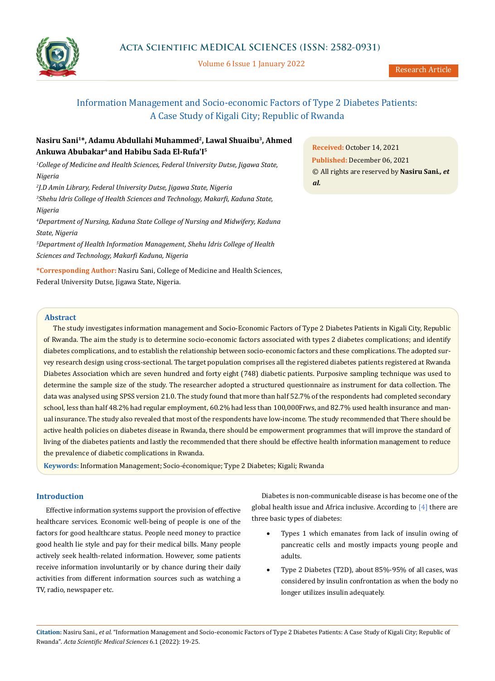

Volume 6 Issue 1 January 2022

# Information Management and Socio-economic Factors of Type 2 Diabetes Patients: A Case Study of Kigali City; Republic of Rwanda

# Nasiru Sani<sup>1\*</sup>, Adamu Abdullahi Muhammed<sup>2</sup>, Lawal Shuaibu<sup>3</sup>, Ahmed **Ankuwa Abubakar4 and Habibu Sada El-Rufa'I5**

<sup>1</sup>College of Medicine and Health Sciences, Federal University Dutse, Jigawa State, *Nigeria* 

 *J.D Amin Library, Federal University Dutse, Jigawa State, Nigeria Shehu Idris College of Health Sciences and Technology, Makarfi, Kaduna State, Nigeria Department of Nursing, Kaduna State College of Nursing and Midwifery, Kaduna* 

*State, Nigeria*

*5 Department of Health Information Management, Shehu Idris College of Health Sciences and Technology, Makarfi Kaduna, Nigeria*

**\*Corresponding Author:** Nasiru Sani, College of Medicine and Health Sciences, Federal University Dutse, Jigawa State, Nigeria.

**Received:** October 14, 2021 **Published:** December 06, 2021 © All rights are reserved by **Nasiru Sani***., et al.*

## **Abstract**

The study investigates information management and Socio-Economic Factors of Type 2 Diabetes Patients in Kigali City, Republic of Rwanda. The aim the study is to determine socio-economic factors associated with types 2 diabetes complications; and identify diabetes complications, and to establish the relationship between socio-economic factors and these complications. The adopted survey research design using cross-sectional. The target population comprises all the registered diabetes patients registered at Rwanda Diabetes Association which are seven hundred and forty eight (748) diabetic patients. Purposive sampling technique was used to determine the sample size of the study. The researcher adopted a structured questionnaire as instrument for data collection. The data was analysed using SPSS version 21.0. The study found that more than half 52.7% of the respondents had completed secondary school, less than half 48.2% had regular employment, 60.2% had less than 100,000Frws, and 82.7% used health insurance and manual insurance. The study also revealed that most of the respondents have low-income. The study recommended that There should be active health policies on diabetes disease in Rwanda, there should be empowerment programmes that will improve the standard of living of the diabetes patients and lastly the recommended that there should be effective health information management to reduce the prevalence of diabetic complications in Rwanda.

**Keywords:** Information Management; Socio-économique; Type 2 Diabetes; Kigali; Rwanda

## **Introduction**

Effective information systems support the provision of effective healthcare services. Economic well-being of people is one of the factors for good healthcare status. People need money to practice good health lie style and pay for their medical bills. Many people actively seek health-related information. However, some patients receive information involuntarily or by chance during their daily activities from different information sources such as watching a TV, radio, newspaper etc.

Diabetes is non-communicable disease is has become one of the global health issue and Africa inclusive. According to [4] there are three basic types of diabetes:

- Types 1 which emanates from lack of insulin owing of pancreatic cells and mostly impacts young people and adults.
- Type 2 Diabetes (T2D), about 85%-95% of all cases, was considered by insulin confrontation as when the body no longer utilizes insulin adequately.

**Citation:** Nasiru Sani*., et al.* "Information Management and Socio-economic Factors of Type 2 Diabetes Patients: A Case Study of Kigali City; Republic of Rwanda". *Acta Scientific Medical Sciences* 6.1 (2022): 19-25.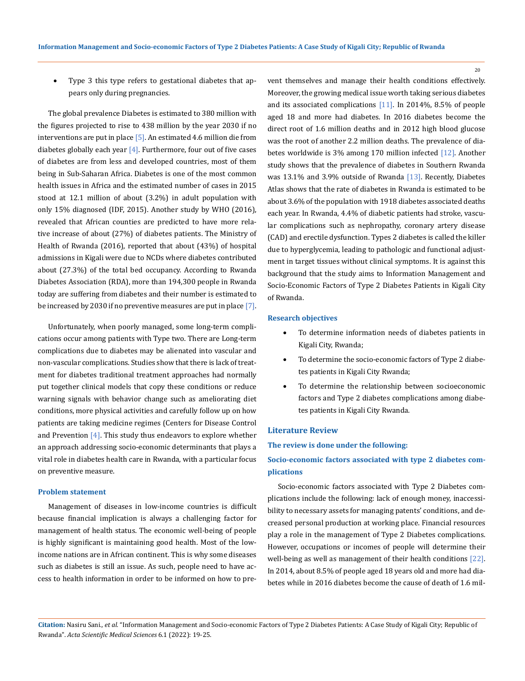Type 3 this type refers to gestational diabetes that appears only during pregnancies.

The global prevalence Diabetes is estimated to 380 million with the figures projected to rise to 438 million by the year 2030 if no interventions are put in place [5]. An estimated 4.6 million die from diabetes globally each year  $[4]$ . Furthermore, four out of five cases of diabetes are from less and developed countries, most of them being in Sub-Saharan Africa. Diabetes is one of the most common health issues in Africa and the estimated number of cases in 2015 stood at 12.1 million of about (3.2%) in adult population with only 15% diagnosed (IDF, 2015). Another study by WHO (2016), revealed that African counties are predicted to have more relative increase of about (27%) of diabetes patients. The Ministry of Health of Rwanda (2016), reported that about (43%) of hospital admissions in Kigali were due to NCDs where diabetes contributed about (27.3%) of the total bed occupancy. According to Rwanda Diabetes Association (RDA), more than 194,300 people in Rwanda today are suffering from diabetes and their number is estimated to be increased by 2030 if no preventive measures are put in place [7].

Unfortunately, when poorly managed, some long-term complications occur among patients with Type two. There are Long-term complications due to diabetes may be alienated into vascular and non-vascular complications. Studies show that there is lack of treatment for diabetes traditional treatment approaches had normally put together clinical models that copy these conditions or reduce warning signals with behavior change such as ameliorating diet conditions, more physical activities and carefully follow up on how patients are taking medicine regimes (Centers for Disease Control and Prevention  $[4]$ . This study thus endeavors to explore whether an approach addressing socio-economic determinants that plays a vital role in diabetes health care in Rwanda, with a particular focus on preventive measure.

#### **Problem statement**

Management of diseases in low-income countries is difficult because financial implication is always a challenging factor for management of health status. The economic well-being of people is highly significant is maintaining good health. Most of the lowincome nations are in African continent. This is why some diseases such as diabetes is still an issue. As such, people need to have access to health information in order to be informed on how to prevent themselves and manage their health conditions effectively. Moreover, the growing medical issue worth taking serious diabetes and its associated complications [11]. In 2014%, 8.5% of people aged 18 and more had diabetes. In 2016 diabetes become the direct root of 1.6 million deaths and in 2012 high blood glucose was the root of another 2.2 million deaths. The prevalence of diabetes worldwide is 3% among 170 million infected [12]. Another study shows that the prevalence of diabetes in Southern Rwanda was 13.1% and 3.9% outside of Rwanda [13]. Recently, Diabetes Atlas shows that the rate of diabetes in Rwanda is estimated to be about 3.6% of the population with 1918 diabetes associated deaths each year. In Rwanda, 4.4% of diabetic patients had stroke, vascular complications such as nephropathy, coronary artery disease (CAD) and erectile dysfunction. Types 2 diabetes is called the killer due to hyperglycemia, leading to pathologic and functional adjustment in target tissues without clinical symptoms. It is against this background that the study aims to Information Management and Socio-Economic Factors of Type 2 Diabetes Patients in Kigali City of Rwanda.

#### **Research objectives**

- To determine information needs of diabetes patients in Kigali City, Rwanda;
- To determine the socio-economic factors of Type 2 diabetes patients in Kigali City Rwanda;
- • To determine the relationship between socioeconomic factors and Type 2 diabetes complications among diabetes patients in Kigali City Rwanda.

#### **Literature Review**

## **The review is done under the following:**

## **Socio-economic factors associated with type 2 diabetes complications**

Socio-economic factors associated with Type 2 Diabetes complications include the following: lack of enough money, inaccessibility to necessary assets for managing patents' conditions, and decreased personal production at working place. Financial resources play a role in the management of Type 2 Diabetes complications. However, occupations or incomes of people will determine their well-being as well as management of their health conditions [22]. In 2014, about 8.5% of people aged 18 years old and more had diabetes while in 2016 diabetes become the cause of death of 1.6 mil-

**Citation:** Nasiru Sani*., et al.* "Information Management and Socio-economic Factors of Type 2 Diabetes Patients: A Case Study of Kigali City; Republic of Rwanda". *Acta Scientific Medical Sciences* 6.1 (2022): 19-25.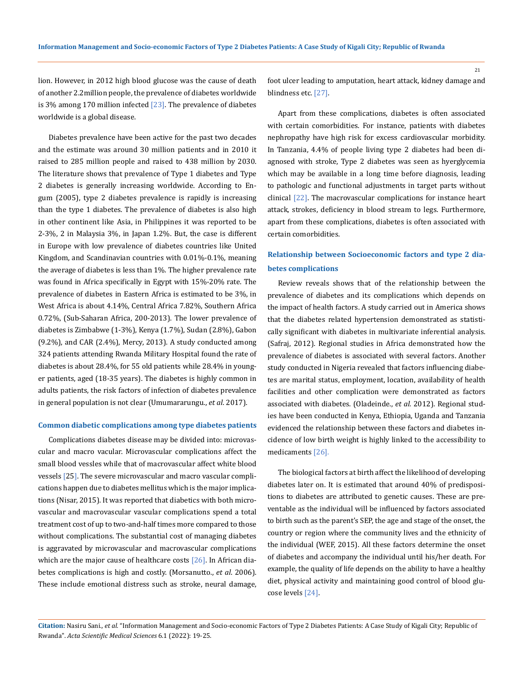lion. However, in 2012 high blood glucose was the cause of death of another 2.2million people, the prevalence of diabetes worldwide is 3% among 170 million infected  $[23]$ . The prevalence of diabetes worldwide is a global disease.

Diabetes prevalence have been active for the past two decades and the estimate was around 30 million patients and in 2010 it raised to 285 million people and raised to 438 million by 2030. The literature shows that prevalence of Type 1 diabetes and Type 2 diabetes is generally increasing worldwide. According to Engum (2005), type 2 diabetes prevalence is rapidly is increasing than the type 1 diabetes. The prevalence of diabetes is also high in other continent like Asia, in Philippines it was reported to be 2-3%, 2 in Malaysia 3%, in Japan 1.2%. But, the case is different in Europe with low prevalence of diabetes countries like United Kingdom, and Scandinavian countries with 0.01%-0.1%, meaning the average of diabetes is less than 1%. The higher prevalence rate was found in Africa specifically in Egypt with 15%-20% rate. The prevalence of diabetes in Eastern Africa is estimated to be 3%, in West Africa is about 4.14%, Central Africa 7.82%, Southern Africa 0.72%, (Sub-Saharan Africa, 200-2013). The lower prevalence of diabetes is Zimbabwe (1-3%), Kenya (1.7%), Sudan (2.8%), Gabon (9.2%), and CAR (2.4%), Mercy, 2013). A study conducted among 324 patients attending Rwanda Military Hospital found the rate of diabetes is about 28.4%, for 55 old patients while 28.4% in younger patients, aged (18-35 years). The diabetes is highly common in adults patients, the risk factors of infection of diabetes prevalence in general population is not clear (Umumararungu., *et al*. 2017).

## **Common diabetic complications among type diabetes patients**

Complications diabetes disease may be divided into: microvascular and macro vacular. Microvascular complications affect the small blood vessles while that of macrovascular affect white blood vessels [25]. The severe microvascular and macro vascular complications happen due to diabetes mellitus which is the major implications (Nisar, 2015). It was reported that diabetics with both microvascular and macrovascular vascular complications spend a total treatment cost of up to two-and-half times more compared to those without complications. The substantial cost of managing diabetes is aggravated by microvascular and macrovascular complications which are the major cause of healthcare costs  $[26]$ . In African diabetes complications is high and costly. (Morsanutto., *et al*. 2006). These include emotional distress such as stroke, neural damage, foot ulcer leading to amputation, heart attack, kidney damage and blindness etc. [27].

Apart from these complications, diabetes is often associated with certain comorbidities. For instance, patients with diabetes nephropathy have high risk for excess cardiovascular morbidity. In Tanzania, 4.4% of people living type 2 diabetes had been diagnosed with stroke, Type 2 diabetes was seen as hyerglycemia which may be available in a long time before diagnosis, leading to pathologic and functional adjustments in target parts without clinical [22]. The macrovascular complications for instance heart attack, strokes, deficiency in blood stream to legs. Furthermore, apart from these complications, diabetes is often associated with certain comorbidities.

# **Relationship between Socioeconomic factors and type 2 diabetes complications**

Review reveals shows that of the relationship between the prevalence of diabetes and its complications which depends on the impact of health factors. A study carried out in America shows that the diabetes related hypertension demonstrated as statistically significant with diabetes in multivariate inferential analysis. (Safraj, 2012). Regional studies in Africa demonstrated how the prevalence of diabetes is associated with several factors. Another study conducted in Nigeria revealed that factors influencing diabetes are marital status, employment, location, availability of health facilities and other complication were demonstrated as factors associated with diabetes. (Oladeinde., *et al.* 2012). Regional studies have been conducted in Kenya, Ethiopia, Uganda and Tanzania evidenced the relationship between these factors and diabetes incidence of low birth weight is highly linked to the accessibility to medicaments [26].

The biological factors at birth affect the likelihood of developing diabetes later on. It is estimated that around 40% of predispositions to diabetes are attributed to genetic causes. These are preventable as the individual will be influenced by factors associated to birth such as the parent's SEP, the age and stage of the onset, the country or region where the community lives and the ethnicity of the individual (WEF, 2015). All these factors determine the onset of diabetes and accompany the individual until his/her death. For example, the quality of life depends on the ability to have a healthy diet, physical activity and maintaining good control of blood glucose levels [24].

**Citation:** Nasiru Sani*., et al.* "Information Management and Socio-economic Factors of Type 2 Diabetes Patients: A Case Study of Kigali City; Republic of Rwanda". *Acta Scientific Medical Sciences* 6.1 (2022): 19-25.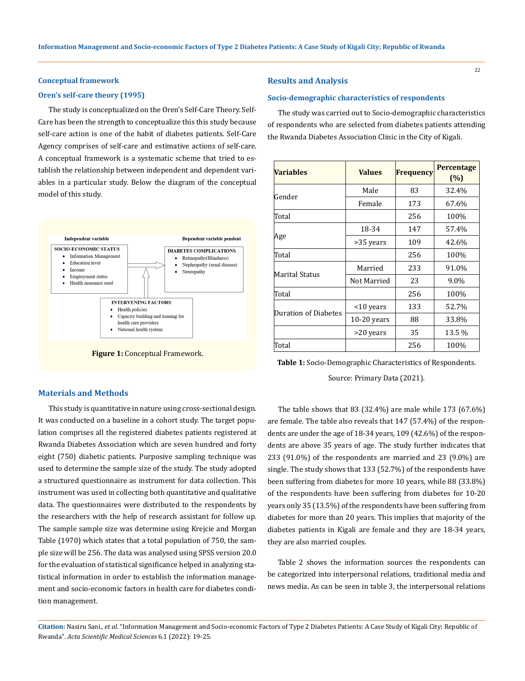#### **Conceptual framework**

## **Oren's self-care theory (1995)**

The study is conceptualized on the Oren's Self-Care Theory. Self-Care has been the strength to conceptualize this this study because self-care action is one of the habit of diabetes patients. Self-Care Agency comprises of self-care and estimative actions of self-care. A conceptual framework is a systematic scheme that tried to establish the relationship between independent and dependent variables in a particular study. Below the diagram of the conceptual model of this study.



**Figure 1:** Conceptual Framework.

## **Materials and Methods**

This study is quantitative in nature using cross-sectional design. It was conducted on a baseline in a cohort study. The target population comprises all the registered diabetes patients registered at Rwanda Diabetes Association which are seven hundred and forty eight (750) diabetic patients. Purposive sampling technique was used to determine the sample size of the study. The study adopted a structured questionnaire as instrument for data collection. This instrument was used in collecting both quantitative and qualitative data. The questionnaires were distributed to the respondents by the researchers with the help of research assistant for follow up. The sample sample size was determine using Krejcie and Morgan Table (1970) which states that a total population of 750, the sample size will be 256. The data was analysed using SPSS version 20.0 for the evaluation of statistical significance helped in analyzing statistical information in order to establish the information management and socio-economic factors in health care for diabetes condition management.

## **Results and Analysis**

## **Socio-demographic characteristics of respondents**

The study was carried out to Socio-demographic characteristics of respondents who are selected from diabetes patients attending the Rwanda Diabetes Association Clinic in the City of Kigali.

| Variables            | <b>Values</b> | <b>Frequency</b> | Percentage<br>(%) |
|----------------------|---------------|------------------|-------------------|
|                      | Male          | 83               | 32.4%             |
| Gender               | Female        | 173              | 67.6%             |
| Total                |               | 256              | 100%              |
|                      | 18-34         | 147              | 57.4%             |
| Age                  | >35 years     | 109              | 42.6%             |
| Total                |               | 256              | 100%              |
|                      | Married       | 233              | 91.0%             |
| Marital Status       | Not Married   | 23               | 9.0%              |
| Total                |               | 256              | 100%              |
|                      | <10 years     | 133              | 52.7%             |
| Duration of Diabetes | $10-20$ years | 88               | 33.8%             |
|                      | >20 years     | 35               | 13.5 %            |
| Total                |               | 256              | 100%              |

**Table 1:** Socio-Demographic Characteristics of Respondents.

Source: Primary Data (2021).

The table shows that 83 (32.4%) are male while 173 (67.6%) are female. The table also reveals that 147 (57.4%) of the respondents are under the age of 18-34 years, 109 (42.6%) of the respondents are above 35 years of age. The study further indicates that 233 (91.0%) of the respondents are married and 23 (9.0%) are single. The study shows that 133 (52.7%) of the respondents have been suffering from diabetes for more 10 years, while 88 (33.8%) of the respondents have been suffering from diabetes for 10-20 years only 35 (13.5%) of the respondents have been suffering from diabetes for more than 20 years. This implies that majority of the diabetes patients in Kigali are female and they are 18-34 years, they are also married couples.

Table 2 shows the information sources the respondents can be categorized into interpersonal relations, traditional media and news media. As can be seen in table 3, the interpersonal relations

**Citation:** Nasiru Sani*., et al.* "Information Management and Socio-economic Factors of Type 2 Diabetes Patients: A Case Study of Kigali City; Republic of Rwanda". *Acta Scientific Medical Sciences* 6.1 (2022): 19-25.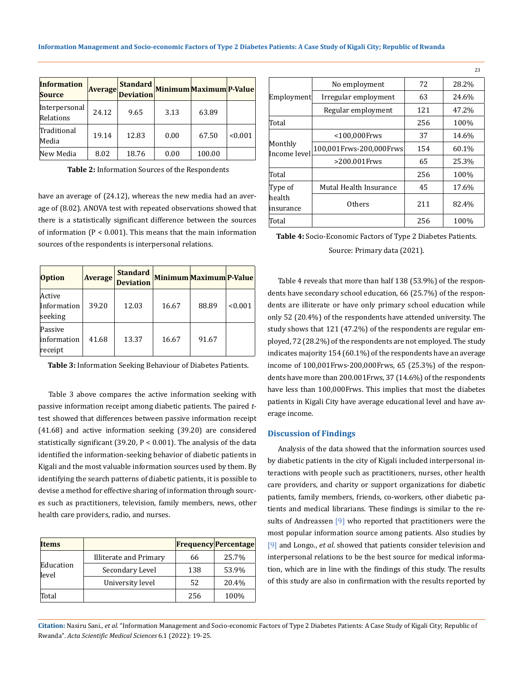| <b>Information</b><br><b>Source</b> | <b>Average</b> | <b>Standard</b><br><b>Deviation</b> |      | Minimum Maximum P-Value |         |
|-------------------------------------|----------------|-------------------------------------|------|-------------------------|---------|
| Interpersonal<br>Relations          | 24.12          | 9.65                                | 3.13 | 63.89                   |         |
| Traditional<br>Media                | 19.14          | 12.83                               | 0.00 | 67.50                   | < 0.001 |
| New Media                           | 8.02           | 18.76                               | 0.00 | 100.00                  |         |

**Table 2:** Information Sources of the Respondents

have an average of (24.12), whereas the new media had an average of (8.02). ANOVA test with repeated observations showed that there is a statistically significant difference between the sources of information (P < 0.001). This means that the main information sources of the respondents is interpersonal relations.

| <b>Option</b>                     | <b>Average</b> | <b>Standard</b><br><b>Deviation</b> | <b>Minimum Maximum P-Value</b> |       |         |
|-----------------------------------|----------------|-------------------------------------|--------------------------------|-------|---------|
| Active<br>Information<br>seeking  | 39.20          | 12.03                               | 16.67                          | 88.89 | < 0.001 |
| Passive<br>information<br>receipt | 41.68          | 13.37                               | 16.67                          | 91.67 |         |

**Table 3:** Information Seeking Behaviour of Diabetes Patients.

Table 3 above compares the active information seeking with passive information receipt among diabetic patients. The paired *t*test showed that differences between passive information receipt (41.68) and active information seeking (39.20) are considered statistically significant (39.20,  $P < 0.001$ ). The analysis of the data identified the information-seeking behavior of diabetic patients in Kigali and the most valuable information sources used by them. By identifying the search patterns of diabetic patients, it is possible to devise a method for effective sharing of information through sources such as practitioners, television, family members, news, other health care providers, radio, and nurses.

| <b>Items</b>       |                        |     | <b>Frequency Percentage</b> |
|--------------------|------------------------|-----|-----------------------------|
| Education<br>level | Illiterate and Primary | 66  | 25.7%                       |
|                    | Secondary Level        | 138 | 53.9%                       |
|                    | University level       | 52  | 20.4%                       |
| Total              |                        | 256 | 100%                        |

|                         | No employment           | 72  | 28.2% |
|-------------------------|-------------------------|-----|-------|
| Employment              | Irregular employment    | 63  | 24.6% |
|                         | Regular employment      | 121 | 47.2% |
| Total                   |                         |     | 100%  |
|                         | <100,000Frws            | 37  | 14.6% |
| Monthly<br>Income level | 100,001Frws-200,000Frws | 154 | 60.1% |
|                         | >200.001Frws            | 65  | 25.3% |
| Total                   |                         | 256 | 100%  |
| Type of                 | Mutal Health Insurance  | 45  | 17.6% |
| health<br>insurance     | <b>Others</b>           | 211 | 82.4% |
| Total                   |                         | 256 | 100%  |

**Table 4:** Socio-Economic Factors of Type 2 Diabetes Patients. Source: Primary data (2021).

Table 4 reveals that more than half 138 (53.9%) of the respondents have secondary school education, 66 (25.7%) of the respondents are illiterate or have only primary school education while only 52 (20.4%) of the respondents have attended university. The study shows that 121 (47.2%) of the respondents are regular employed, 72 (28.2%) of the respondents are not employed. The study indicates majority 154 (60.1%) of the respondents have an average income of 100,001Frws-200,000Frws, 65 (25.3%) of the respondents have more than 200.001Frws, 37 (14.6%) of the respondents have less than 100,000Frws. This implies that most the diabetes patients in Kigali City have average educational level and have average income.

## **Discussion of Findings**

Analysis of the data showed that the information sources used by diabetic patients in the city of Kigali included interpersonal interactions with people such as practitioners, nurses, other health care providers, and charity or support organizations for diabetic patients, family members, friends, co-workers, other diabetic patients and medical librarians. These findings is similar to the results of Andreassen [9] who reported that practitioners were the most popular information source among patients. Also studies by [9] and Longo., *et al*. showed that patients consider television and interpersonal relations to be the best source for medical information, which are in line with the findings of this study. The results of this study are also in confirmation with the results reported by

**Citation:** Nasiru Sani*., et al.* "Information Management and Socio-economic Factors of Type 2 Diabetes Patients: A Case Study of Kigali City; Republic of Rwanda". *Acta Scientific Medical Sciences* 6.1 (2022): 19-25.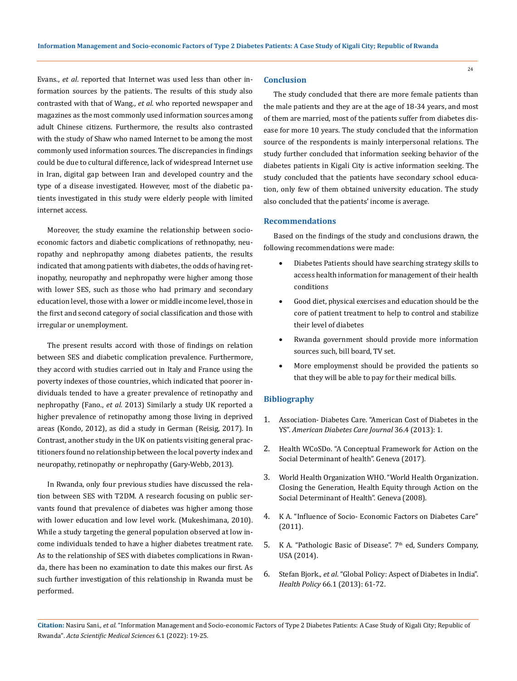Evans., *et al*. reported that Internet was used less than other information sources by the patients. The results of this study also contrasted with that of Wang., *et al.* who reported newspaper and magazines as the most commonly used information sources among adult Chinese citizens. Furthermore, the results also contrasted with the study of Shaw who named Internet to be among the most commonly used information sources. The discrepancies in findings could be due to cultural difference, lack of widespread Internet use in Iran, digital gap between Iran and developed country and the type of a disease investigated. However, most of the diabetic patients investigated in this study were elderly people with limited internet access.

Moreover, the study examine the relationship between socioeconomic factors and diabetic complications of rethnopathy, neuropathy and nephropathy among diabetes patients, the results indicated that among patients with diabetes, the odds of having retinopathy, neuropathy and nephropathy were higher among those with lower SES, such as those who had primary and secondary education level, those with a lower or middle income level, those in the first and second category of social classification and those with irregular or unemployment.

The present results accord with those of findings on relation between SES and diabetic complication prevalence. Furthermore, they accord with studies carried out in Italy and France using the poverty indexes of those countries, which indicated that poorer individuals tended to have a greater prevalence of retinopathy and nephropathy (Fano., *et al.* 2013) Similarly a study UK reported a higher prevalence of retinopathy among those living in deprived areas (Kondo, 2012), as did a study in German (Reisig, 2017). In Contrast, another study in the UK on patients visiting general practitioners found no relationship between the local poverty index and neuropathy, retinopathy or nephropathy (Gary-Webb, 2013).

In Rwanda, only four previous studies have discussed the relation between SES with T2DM. A research focusing on public servants found that prevalence of diabetes was higher among those with lower education and low level work. (Mukeshimana, 2010). While a study targeting the general population observed at low income individuals tended to have a higher diabetes treatment rate. As to the relationship of SES with diabetes complications in Rwanda, there has been no examination to date this makes our first. As such further investigation of this relationship in Rwanda must be performed.

## **Conclusion**

The study concluded that there are more female patients than the male patients and they are at the age of 18-34 years, and most of them are married, most of the patients suffer from diabetes disease for more 10 years. The study concluded that the information source of the respondents is mainly interpersonal relations. The study further concluded that information seeking behavior of the diabetes patients in Kigali City is active information seeking. The study concluded that the patients have secondary school education, only few of them obtained university education. The study also concluded that the patients' income is average.

## **Recommendations**

Based on the findings of the study and conclusions drawn, the following recommendations were made:

- Diabetes Patients should have searching strategy skills to access health information for management of their health conditions
- • Good diet, physical exercises and education should be the core of patient treatment to help to control and stabilize their level of diabetes
- Rwanda government should provide more information sources such, bill board, TV set.
- More employmenst should be provided the patients so that they will be able to pay for their medical bills.

## **Bibliography**

- 1. Association- Diabetes Care. "American Cost of Diabetes in the YS". *American Diabetes Care Journal* 36.4 (2013): 1.
- 2. Health WCoSDo. "A Conceptual Framework for Action on the Social Determinant of health". Geneva (2017).
- 3. World Health Organization WHO. "World Health Organization. Closing the Generation, Health Equity through Action on the Social Determinant of Health". Geneva (2008).
- 4. [K A. "Influence of Socio- Economic Factors on Diabetes Care"](https://www.researchgate.net/publication/237391000_Influence_of_socio-economic_factors_on_diabetes_care) [\(2011\).](https://www.researchgate.net/publication/237391000_Influence_of_socio-economic_factors_on_diabetes_care)
- 5. K A. "Pathologic Basic of Disease".  $7<sup>th</sup>$  ed, Sunders Company, USA (2014).
- 6. Stefan Bjork., *et al*[. "Global Policy: Aspect of Diabetes in India".](https://pubmed.ncbi.nlm.nih.gov/14499166/) *Health Policy* [66.1 \(2013\): 61-72.](https://pubmed.ncbi.nlm.nih.gov/14499166/)

**Citation:** Nasiru Sani*., et al.* "Information Management and Socio-economic Factors of Type 2 Diabetes Patients: A Case Study of Kigali City; Republic of Rwanda". *Acta Scientific Medical Sciences* 6.1 (2022): 19-25.